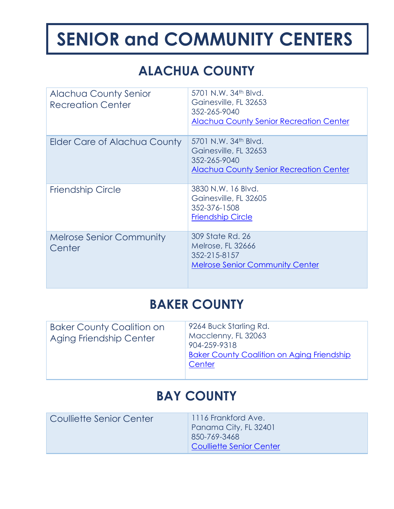# **ALACHUA COUNTY**

| <b>Alachua County Senior</b><br><b>Recreation Center</b> | 5701 N.W. 34 <sup>th</sup> Blvd.<br>Gainesville, FL 32653<br>352-265-9040<br><b>Alachua County Senior Recreation Center</b> |
|----------------------------------------------------------|-----------------------------------------------------------------------------------------------------------------------------|
| Elder Care of Alachua County                             | 5701 N.W. 34th Blvd.<br>Gainesville, FL 32653<br>352-265-9040<br><b>Alachua County Senior Recreation Center</b>             |
| <b>Friendship Circle</b>                                 | 3830 N.W. 16 Blvd.<br>Gainesville, FL 32605<br>352-376-1508<br><b>Friendship Circle</b>                                     |
| <b>Melrose Senior Community</b><br>Center                | 309 State Rd. 26<br>Melrose, FL 32666<br>352-215-8157<br><b>Melrose Senior Community Center</b>                             |

#### **BAKER COUNTY**

| <b>Baker County Coalition on</b><br>Aging Friendship Center | 9264 Buck Starling Rd.<br>Macclenny, FL 32063<br>904-259-9318<br><b>Baker County Coalition on Aging Friendship</b><br>Center |
|-------------------------------------------------------------|------------------------------------------------------------------------------------------------------------------------------|
|                                                             |                                                                                                                              |

#### **BAY COUNTY**

| Coulliette Senior Center | 1116 Frankford Ave.<br>Panama City, FL 32401<br>850-769-3468<br><b>Coulliette Senior Center</b> |
|--------------------------|-------------------------------------------------------------------------------------------------|
|                          |                                                                                                 |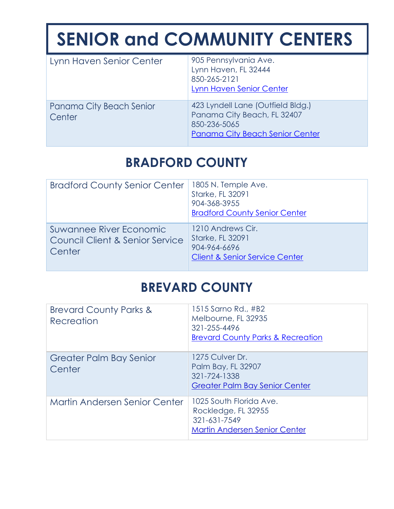| Lynn Haven Senior Center           | 905 Pennsylvania Ave.<br>Lynn Haven, FL 32444<br>850-265-2121<br>Lynn Haven Senior Center                           |
|------------------------------------|---------------------------------------------------------------------------------------------------------------------|
| Panama City Beach Senior<br>Center | 423 Lyndell Lane (Outfield Bldg.)<br>Panama City Beach, FL 32407<br>850-236-5065<br>Panama City Beach Senior Center |

### **BRADFORD COUNTY**

| <b>Bradford County Senior Center</b>                                            | 1805 N. Temple Ave.<br><b>Starke, FL 32091</b><br>904-368-3955<br><b>Bradford County Senior Center</b>    |
|---------------------------------------------------------------------------------|-----------------------------------------------------------------------------------------------------------|
| Suwannee River Economic<br><b>Council Client &amp; Senior Service</b><br>Center | 1210 Andrews Cir.<br><b>Starke, FL 32091</b><br>904-964-6696<br><b>Client &amp; Senior Service Center</b> |

#### **BREVARD COUNTY**

| <b>Brevard County Parks &amp;</b><br>Recreation | 1515 Sarno Rd., #B2<br>Melbourne, FL 32935<br>321-255-4496<br><b>Brevard County Parks &amp; Recreation</b> |
|-------------------------------------------------|------------------------------------------------------------------------------------------------------------|
| <b>Greater Palm Bay Senior</b><br>Center        | 1275 Culver Dr.<br>Palm Bay, FL 32907<br>321-724-1338<br><b>Greater Palm Bay Senior Center</b>             |
| <b>Martin Andersen Senior Center</b>            | 1025 South Florida Ave.<br>Rockledge, FL 32955<br>321-631-7549<br><b>Martin Andersen Senior Center</b>     |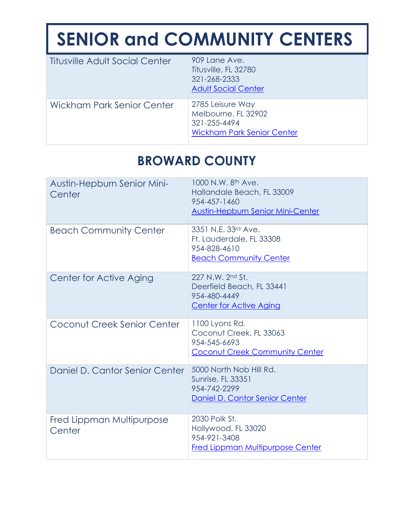| <b>Titusville Adult Social Center</b> | 909 Lane Ave.<br>Titusville, FL 32780<br>321-268-2333<br><b>Adult Social Center</b>          |
|---------------------------------------|----------------------------------------------------------------------------------------------|
| Wickham Park Senior Center            | 2785 Leisure Way<br>Melbourne, FL 32902<br>321-255-4494<br><b>Wickham Park Senior Center</b> |

## **BROWARD COUNTY**

| Austin-Hepburn Senior Mini-<br>Center | 1000 N.W. 8th Ave.<br>Hallandale Beach, FL 33009<br>954-457-1460<br><b>Austin-Hepburn Senior Mini-Center</b> |
|---------------------------------------|--------------------------------------------------------------------------------------------------------------|
| <b>Beach Community Center</b>         | 3351 N.E. 33rd Ave.<br>Ft. Lauderdale, FL 33308<br>954-828-4610<br><b>Beach Community Center</b>             |
| Center for Active Aging               | 227 N.W. 2nd St.<br>Deerfield Beach, FL 33441<br>954-480-4449<br><b>Center for Active Aging</b>              |
| Coconut Creek Senior Center           | 1100 Lyons Rd.<br>Coconut Creek, FL 33063<br>954-545-6693<br><b>Coconut Creek Community Center</b>           |
| Daniel D. Cantor Senior Center        | 5000 North Nob Hill Rd.<br><b>Sunrise, FL 33351</b><br>954-742-2299<br>Daniel D. Cantor Senior Center        |
| Fred Lippman Multipurpose<br>Center   | 2030 Polk St.<br>Hollywood, FL 33020<br>954-921-3408<br><b>Fred Lippman Multipurpose Center</b>              |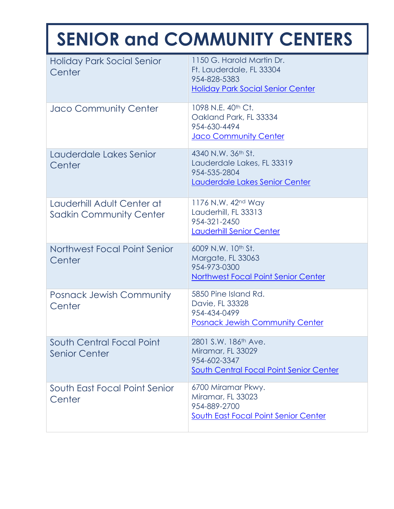| <b>Holiday Park Social Senior</b><br>Center                  | 1150 G. Harold Martin Dr.<br>Ft. Lauderdale, FL 33304<br>954-828-5383<br><b>Holiday Park Social Senior Center</b> |
|--------------------------------------------------------------|-------------------------------------------------------------------------------------------------------------------|
| Jaco Community Center                                        | 1098 N.E. 40 <sup>th</sup> Ct.<br>Oakland Park, FL 33334<br>954-630-4494<br><b>Jaco Community Center</b>          |
| Lauderdale Lakes Senior<br>Center                            | 4340 N.W. 36th St.<br>Lauderdale Lakes, FL 33319<br>954-535-2804<br>Lauderdale Lakes Senior Center                |
| Lauderhill Adult Center at<br><b>Sadkin Community Center</b> | 1176 N.W. 42 <sup>nd</sup> Way<br>Lauderhill, FL 33313<br>954-321-2450<br>Lauderhill Senior Center                |
| Northwest Focal Point Senior<br>Center                       | 6009 N.W. 10th St.<br>Margate, FL 33063<br>954-973-0300<br><b>Northwest Focal Point Senior Center</b>             |
| <b>Posnack Jewish Community</b><br>Center                    | 5850 Pine Island Rd.<br>Davie, FL 33328<br>954-434-0499<br><b>Posnack Jewish Community Center</b>                 |
| South Central Focal Point<br><b>Senior Center</b>            | 2801 S.W. 186th Ave.<br>Miramar, FL 33029<br>954-602-3347<br>South Central Focal Point Senior Center              |
| South East Focal Point Senior<br>Center                      | 6700 Miramar Pkwy.<br>Miramar, FL 33023<br>954-889-2700<br>South East Focal Point Senior Center                   |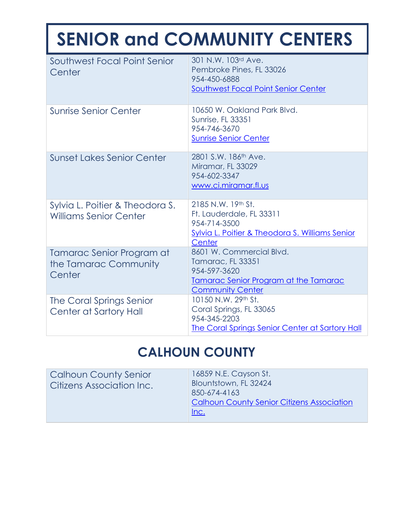| Southwest Focal Point Senior<br>Center                           | 301 N.W. 103rd Ave.<br>Pembroke Pines, FL 33026<br>954-450-6888<br>Southwest Focal Point Senior Center                            |
|------------------------------------------------------------------|-----------------------------------------------------------------------------------------------------------------------------------|
| <b>Sunrise Senior Center</b>                                     | 10650 W. Oakland Park Blvd.<br><b>Sunrise, FL 33351</b><br>954-746-3670<br><b>Sunrise Senior Center</b>                           |
| <b>Sunset Lakes Senior Center</b>                                | 2801 S.W. 186 <sup>th</sup> Ave.<br>Miramar, FL 33029<br>954-602-3347<br>www.ci.miramar.fl.us                                     |
| Sylvia L. Poitier & Theodora S.<br><b>Williams Senior Center</b> | 2185 N.W. 19th St.<br>Ft. Lauderdale, FL 33311<br>954-714-3500<br>Sylvia L. Poitier & Theodora S. Williams Senior<br>Center       |
| Tamarac Senior Program at<br>the Tamarac Community<br>Center     | 8601 W. Commercial Blvd.<br>Tamarac, FL 33351<br>954-597-3620<br>Tamarac Senior Program at the Tamarac<br><b>Community Center</b> |
| The Coral Springs Senior<br>Center at Sartory Hall               | 10150 N.W. 29th St.<br>Coral Springs, FL 33065<br>954-345-2203<br><b>The Coral Springs Senior Center at Sartory Hall</b>          |

#### **CALHOUN COUNTY**

| <b>Calhoun County Senior</b><br><b>Citizens Association Inc.</b> | 16859 N.E. Cayson St.<br>Blountstown, FL 32424<br>850-674-4163<br><b>Calhoun County Senior Citizens Association</b><br>Inc. |
|------------------------------------------------------------------|-----------------------------------------------------------------------------------------------------------------------------|
|------------------------------------------------------------------|-----------------------------------------------------------------------------------------------------------------------------|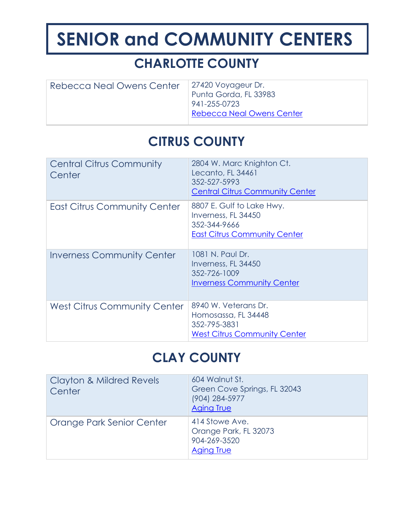## **CHARLOTTE COUNTY**

| Rebecca Neal Owens Center | 27420 Voyageur Dr.               |
|---------------------------|----------------------------------|
|                           | Punta Gorda, FL 33983            |
|                           | 941-255-0723                     |
|                           | <b>Rebecca Neal Owens Center</b> |
|                           |                                  |

### **CITRUS COUNTY**

| <b>Central Citrus Community</b><br>Center | 2804 W. Marc Knighton Ct.<br>Lecanto, FL 34461<br>352-527-5993<br><b>Central Citrus Community Center</b> |
|-------------------------------------------|----------------------------------------------------------------------------------------------------------|
| <b>East Citrus Community Center</b>       | 8807 E. Gulf to Lake Hwy.<br>Inverness, FL 34450<br>352-344-9666<br><b>East Citrus Community Center</b>  |
| <b>Inverness Community Center</b>         | 1081 N. Paul Dr.<br>Inverness, FL 34450<br>352-726-1009<br><b>Inverness Community Center</b>             |
| <b>West Citrus Community Center</b>       | 8940 W. Veterans Dr.<br>Homosassa, FL 34448<br>352-795-3831<br><b>West Citrus Community Center</b>       |

#### **CLAY COUNTY**

| <b>Clayton &amp; Mildred Revels</b><br>Center | 604 Walnut St.<br>Green Cove Springs, FL 32043<br>(904) 284-5977<br><b>Aging True</b> |
|-----------------------------------------------|---------------------------------------------------------------------------------------|
| Orange Park Senior Center                     | 414 Stowe Ave.<br>Orange Park, FL 32073<br>904-269-3520<br><b>Aging True</b>          |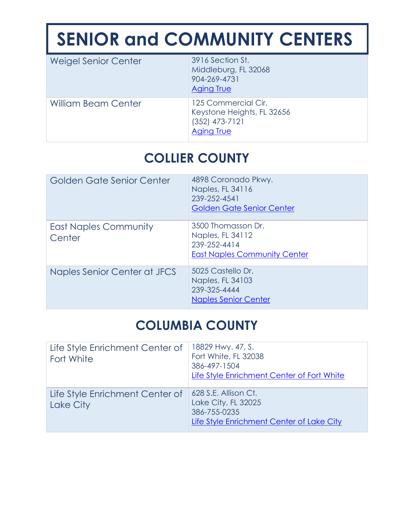| Weigel Senior Center       | 3916 Section St.<br>Middleburg, FL 32068<br>904-269-4731<br><b>Aging True</b>       |
|----------------------------|-------------------------------------------------------------------------------------|
| <b>William Beam Center</b> | 125 Commercial Cir.<br>Keystone Heights, FL 32656<br>$(352)$ 473-7121<br>Aging True |

# **COLLIER COUNTY**

| Golden Gate Senior Center              | 4898 Coronado Pkwy.<br>Naples, FL 34116<br>239-252-4541<br><b>Golden Gate Senior Center</b>   |
|----------------------------------------|-----------------------------------------------------------------------------------------------|
| <b>East Naples Community</b><br>Center | 3500 Thomasson Dr.<br>Naples, FL 34112<br>239-252-4414<br><b>East Naples Community Center</b> |
| Naples Senior Center at JFCS           | 5025 Castello Dr.<br>Naples, FL 34103<br>239-325-4444<br><b>Naples Senior Center</b>          |

#### **COLUMBIA COUNTY**

| Life Style Enrichment Center of<br>Fort White | 18829 Hwy. 47, S.<br>Fort White, FL 32038<br>386-497-1504<br>Life Style Enrichment Center of Fort White  |
|-----------------------------------------------|----------------------------------------------------------------------------------------------------------|
| Life Style Enrichment Center of<br>Lake City  | 628 S.E. Allison Ct.<br>Lake City, FL 32025<br>386-755-0235<br>Life Style Enrichment Center of Lake City |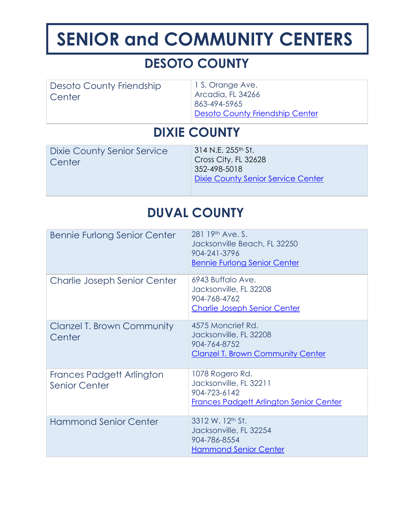## **DESOTO COUNTY**

| Desoto County Friendship | 1 S. Orange Ave.                       |
|--------------------------|----------------------------------------|
| Center                   | Arcadia, FL 34266                      |
|                          | 863-494-5965                           |
|                          | <b>Desoto County Friendship Center</b> |

#### **DIXIE COUNTY**

| Dixie County Senior Service<br>Center | 314 N.E. 255 <sup>th</sup> St.<br>Cross City, FL 32628<br>352-498-5018<br><b>Dixie County Senior Service Center</b> |
|---------------------------------------|---------------------------------------------------------------------------------------------------------------------|
|                                       |                                                                                                                     |

## **DUVAL COUNTY**

| <b>Bennie Furlong Senior Center</b>                      | 281 19th Ave. S.<br>Jacksonville Beach, FL 32250<br>904-241-3796<br><b>Bennie Furlong Senior Center</b>     |
|----------------------------------------------------------|-------------------------------------------------------------------------------------------------------------|
| Charlie Joseph Senior Center                             | 6943 Buffalo Ave.<br>Jacksonville, FL 32208<br>904-768-4762<br><b>Charlie Joseph Senior Center</b>          |
| <b>Clanzel T. Brown Community</b><br>Center              | 4575 Moncrief Rd.<br>Jacksonville, FL 32208<br>904-764-8752<br><b>Clanzel T. Brown Community Center</b>     |
| <b>Frances Padgett Arlington</b><br><b>Senior Center</b> | 1078 Rogero Rd.<br>Jacksonville, FL 32211<br>904-723-6142<br><b>Frances Padgett Arlington Senior Center</b> |
| <b>Hammond Senior Center</b>                             | 3312 W. 12th St.<br>Jacksonville, FL 32254<br>904-786-8554<br><b>Hammond Senior Center</b>                  |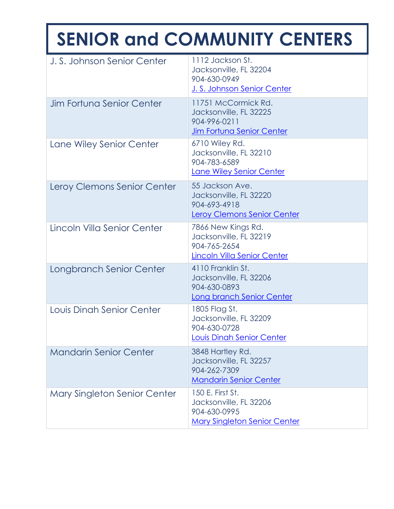| J. S. Johnson Senior Center         | 1112 Jackson St.<br>Jacksonville, FL 32204<br>904-630-0949<br>J. S. Johnson Senior Center         |
|-------------------------------------|---------------------------------------------------------------------------------------------------|
| <b>Jim Fortuna Senior Center</b>    | 11751 McCormick Rd.<br>Jacksonville, FL 32225<br>904-996-0211<br><b>Jim Fortuna Senior Center</b> |
| Lane Wiley Senior Center            | 6710 Wiley Rd.<br>Jacksonville, FL 32210<br>904-783-6589<br>Lane Wiley Senior Center              |
| Leroy Clemons Senior Center         | 55 Jackson Ave.<br>Jacksonville, FL 32220<br>904-693-4918<br>Leroy Clemons Senior Center          |
| Lincoln Villa Senior Center         | 7866 New Kings Rd.<br>Jacksonville, FL 32219<br>904-765-2654<br>Lincoln Villa Senior Center       |
| Longbranch Senior Center            | 4110 Franklin St.<br>Jacksonville, FL 32206<br>904-630-0893<br>Long branch Senior Center          |
| Louis Dinah Senior Center           | 1805 Flag St.<br>Jacksonville, FL 32209<br>904-630-0728<br>Louis Dinah Senior Center              |
| <b>Mandarin Senior Center</b>       | 3848 Hartley Rd.<br>Jacksonville, FL 32257<br>904-262-7309<br><b>Mandarin Senior Center</b>       |
| <b>Mary Singleton Senior Center</b> | 150 E. First St.<br>Jacksonville, FL 32206<br>904-630-0995<br><b>Mary Singleton Senior Center</b> |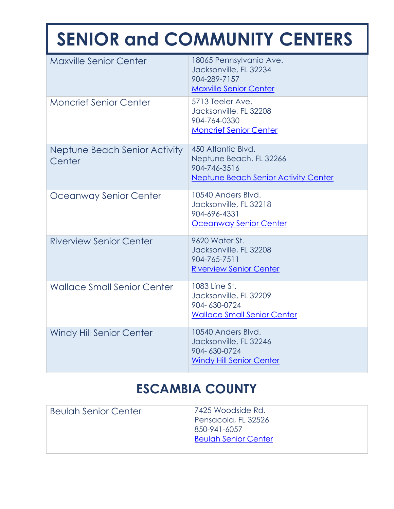| <b>Maxville Senior Center</b>           | 18065 Pennsylvania Ave.<br>Jacksonville, FL 32234<br>904-289-7157<br><b>Maxville Senior Center</b>           |
|-----------------------------------------|--------------------------------------------------------------------------------------------------------------|
| <b>Moncrief Senior Center</b>           | 5713 Teeler Ave.<br>Jacksonville, FL 32208<br>904-764-0330<br><b>Moncrief Senior Center</b>                  |
| Neptune Beach Senior Activity<br>Center | 450 Atlantic Blvd.<br>Neptune Beach, FL 32266<br>904-746-3516<br><b>Neptune Beach Senior Activity Center</b> |
| Oceanway Senior Center                  | 10540 Anders Blvd.<br>Jacksonville, FL 32218<br>904-696-4331<br>Oceanway Senior Center                       |
| <b>Riverview Senior Center</b>          | 9620 Water St.<br>Jacksonville, FL 32208<br>904-765-7511<br><b>Riverview Senior Center</b>                   |
| <b>Wallace Small Senior Center</b>      | 1083 Line St.<br>Jacksonville, FL 32209<br>904-630-0724<br><b>Wallace Small Senior Center</b>                |
| <b>Windy Hill Senior Center</b>         | 10540 Anders Blvd.<br>Jacksonville, FL 32246<br>904-630-0724<br><b>Windy Hill Senior Center</b>              |

### **ESCAMBIA COUNTY**

| <b>Beulah Senior Center</b> | 7425 Woodside Rd.<br>Pensacola, FL 32526<br>850-941-6057 |
|-----------------------------|----------------------------------------------------------|
|                             | <b>Beulah Senior Center</b>                              |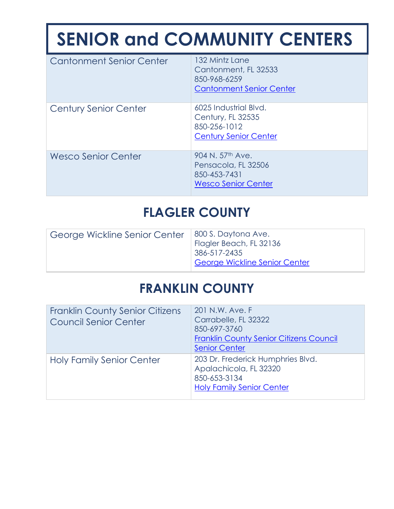| <b>Cantonment Senior Center</b> | 132 Mintz Lane<br>Cantonment, FL 32533<br>850-968-6259<br><b>Cantonment Senior Center</b>         |
|---------------------------------|---------------------------------------------------------------------------------------------------|
| Century Senior Center           | 6025 Industrial Blvd.<br>Century, FL 32535<br>850-256-1012<br><b>Century Senior Center</b>        |
| <b>Wesco Senior Center</b>      | 904 N. 57 <sup>th</sup> Ave.<br>Pensacola, FL 32506<br>850-453-7431<br><b>Wesco Senior Center</b> |

#### **FLAGLER COUNTY**

| George Wickline Senior Center | 800 S. Daytona Ave.<br>Flagler Beach, FL 32136<br>386-517-2435<br><b>George Wickline Senior Center</b> |
|-------------------------------|--------------------------------------------------------------------------------------------------------|
|                               |                                                                                                        |

### **FRANKLIN COUNTY**

| <b>Franklin County Senior Citizens</b><br><b>Council Senior Center</b> | 201 N.W. Ave. F<br>Carrabelle, FL 32322<br>850-697-3760<br><b>Franklin County Senior Citizens Council</b><br><b>Senior Center</b> |
|------------------------------------------------------------------------|-----------------------------------------------------------------------------------------------------------------------------------|
| <b>Holy Family Senior Center</b>                                       | 203 Dr. Frederick Humphries Blvd.<br>Apalachicola, FL 32320<br>850-653-3134<br><b>Holy Family Senior Center</b>                   |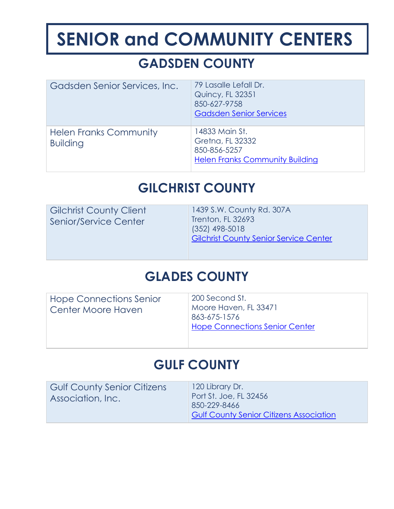## **GADSDEN COUNTY**

| Gadsden Senior Services, Inc.                    | 79 Lasalle Lefall Dr.<br><b>Quincy, FL 32351</b><br>850-627-9758<br><b>Gadsden Senior Services</b> |
|--------------------------------------------------|----------------------------------------------------------------------------------------------------|
| <b>Helen Franks Community</b><br><b>Building</b> | 14833 Main St.<br>Gretna, FL 32332<br>850-856-5257<br><b>Helen Franks Community Building</b>       |

## **GILCHRIST COUNTY**

| <b>Gilchrist County Client</b><br>Senior/Service Center | 1439 S.W. County Rd. 307A<br>Trenton, FL 32693<br>$(352)$ 498-5018<br><b>Gilchrist County Senior Service Center</b> |
|---------------------------------------------------------|---------------------------------------------------------------------------------------------------------------------|
|                                                         |                                                                                                                     |

#### **GLADES COUNTY**

| Hope Connections Senior<br>Center Moore Haven | 200 Second St.<br>Moore Haven, FL 33471<br>863-675-1576<br><b>Hope Connections Senior Center</b> |
|-----------------------------------------------|--------------------------------------------------------------------------------------------------|
|                                               |                                                                                                  |

#### **GULF COUNTY**

| <b>Gulf County Senior Citizens</b><br>Association, Inc. | 120 Library Dr.<br>Port St. Joe, FL 32456<br>850-229-8466 |
|---------------------------------------------------------|-----------------------------------------------------------|
|                                                         | <b>Gulf County Senior Citizens Association</b>            |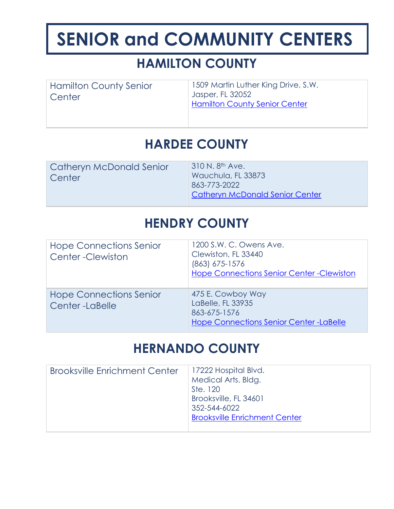## **HAMILTON COUNTY**

Hamilton County Senior **Center** 

1509 Martin Luther King Drive, S.W. Jasper, FL 32052 [Hamilton County Senior Center](http://srecinc.org/service-areas/hamilton-county/)

## **HARDEE COUNTY**

Catheryn McDonald Senior **Center** 

310 N. 8th Ave. Wauchula, FL 33873 863-773-2022 [Catheryn McDonald Senior Center](http://www.nuhopeeldercare.com/blog/congregate-meal-program-sites/)

#### **HENDRY COUNTY**

| <b>Hope Connections Senior</b><br><b>Center-Clewiston</b> | 1200 S.W. C. Owens Ave.<br>Clewiston, FL 33440<br>$(863)$ 675-1576<br><b>Hope Connections Senior Center - Clewiston</b> |
|-----------------------------------------------------------|-------------------------------------------------------------------------------------------------------------------------|
| <b>Hope Connections Senior</b><br>Center-LaBelle          | 475 E. Cowboy Way<br>LaBelle, FL 33935<br>863-675-1576<br>Hope Connections Senior Center-LaBelle                        |

#### **HERNANDO COUNTY**

| <b>Brooksville Enrichment Center</b> | 17222 Hospital Blvd.                 |
|--------------------------------------|--------------------------------------|
|                                      | Medical Arts. Bldg.                  |
|                                      | Ste. 120                             |
|                                      | Brooksville, FL 34601                |
|                                      | 352-544-6022                         |
|                                      | <b>Brooksville Enrichment Center</b> |
|                                      |                                      |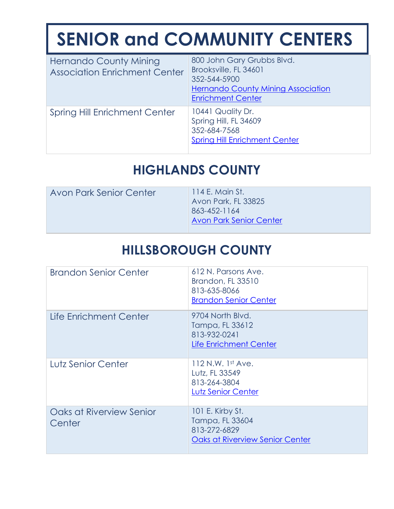| <b>Hernando County Mining</b><br><b>Association Enrichment Center</b> | 800 John Gary Grubbs Blvd.<br>Brooksville, FL 34601<br>352-544-5900<br><b>Hernando County Mining Association</b><br><b>Enrichment Center</b> |
|-----------------------------------------------------------------------|----------------------------------------------------------------------------------------------------------------------------------------------|
| <b>Spring Hill Enrichment Center</b>                                  | 10441 Quality Dr.<br>Spring Hill, FL 34609<br>352-684-7568<br><b>Spring Hill Enrichment Center</b>                                           |

### **HIGHLANDS COUNTY**

| <b>Avon Park Senior Center</b> | 114 E. Main St.<br>Avon Park, FL 33825<br>863-452-1164<br><b>Avon Park Senior Center</b> |
|--------------------------------|------------------------------------------------------------------------------------------|
|                                |                                                                                          |

## **HILLSBOROUGH COUNTY**

| <b>Brandon Senior Center</b>       | 612 N. Parsons Ave.<br>Brandon, FL 33510<br>813-635-8066<br><b>Brandon Senior Center</b>      |
|------------------------------------|-----------------------------------------------------------------------------------------------|
| Life Enrichment Center             | 9704 North Blvd.<br>Tampa, FL 33612<br>813-932-0241<br>Life Enrichment Center                 |
| Lutz Senior Center                 | $112$ N.W. 1st Ave.<br>Lutz, FL 33549<br>813-264-3804<br>Lutz Senior Center                   |
| Oaks at Riverview Senior<br>Center | 101 E. Kirby St.<br>Tampa, FL 33604<br>813-272-6829<br><b>Oaks at Riverview Senior Center</b> |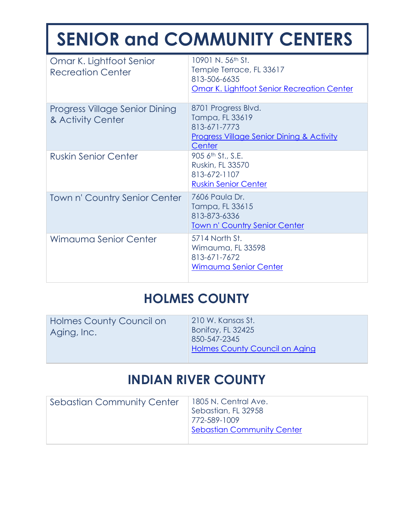| Omar K. Lightfoot Senior<br><b>Recreation Center</b> | 10901 N. 56 <sup>th</sup> St.<br>Temple Terrace, FL 33617<br>813-506-6635<br><b>Omar K. Lightfoot Senior Recreation Center</b> |
|------------------------------------------------------|--------------------------------------------------------------------------------------------------------------------------------|
| Progress Village Senior Dining<br>& Activity Center  | 8701 Progress Blvd.<br>Tampa, FL 33619<br>813-671-7773<br><b>Progress Village Senior Dining &amp; Activity</b><br>Center       |
| <b>Ruskin Senior Center</b>                          | 905 6th St., S.E.<br>Ruskin, FL 33570<br>813-672-1107<br><b>Ruskin Senior Center</b>                                           |
| Town n' Country Senior Center                        | 7606 Paula Dr.<br>Tampa, FL 33615<br>813-873-6336<br><b>Town n' Country Senior Center</b>                                      |
| Wimauma Senior Center                                | 5714 North St.<br>Wimauma, FL 33598<br>813-671-7672<br>Wimauma Senior Center                                                   |

### **HOLMES COUNTY**

| 850-547-2345                          | Holmes County Council on | 210 W. Kansas St. |
|---------------------------------------|--------------------------|-------------------|
| <b>Holmes County Council on Aging</b> | Aging, Inc.              | Bonifay, FL 32425 |

#### **INDIAN RIVER COUNTY**

| <b>Sebastian Community Center</b> | 1805 N. Central Ave.              |
|-----------------------------------|-----------------------------------|
|                                   | Sebastian, FL 32958               |
|                                   | 772-589-1009                      |
|                                   | <b>Sebastian Community Center</b> |
|                                   |                                   |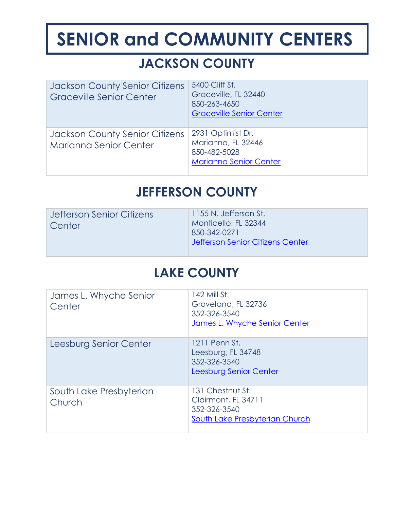## **JACKSON COUNTY**

| <b>Jackson County Senior Citizens</b><br><b>Graceville Senior Center</b> | 5400 Cliff St.<br>Graceville, FL 32440<br>850-263-4650<br><b>Graceville Senior Center</b> |
|--------------------------------------------------------------------------|-------------------------------------------------------------------------------------------|
| <b>Jackson County Senior Citizens</b><br><b>Marianna Senior Center</b>   | 2931 Optimist Dr.<br>Marianna, FL 32446<br>850-482-5028<br><b>Marianna Senior Center</b>  |

#### **JEFFERSON COUNTY**

| Jefferson Senior Citizens<br>Center | 1155 N. Jefferson St.<br>Monticello, FL 32344<br>850-342-0271<br>Jefferson Senior Citizens Center |
|-------------------------------------|---------------------------------------------------------------------------------------------------|
|                                     |                                                                                                   |

#### **LAKE COUNTY**

| James L. Whyche Senior<br>Center  | 142 Mill St.<br>Groveland, FL 32736<br>352-326-3540<br>James L. Whyche Senior Center      |
|-----------------------------------|-------------------------------------------------------------------------------------------|
| Leesburg Senior Center            | 1211 Penn St.<br>Leesburg, FL 34748<br>352-326-3540<br>Leesburg Senior Center             |
| South Lake Presbyterian<br>Church | 131 Chestnut St.<br>Clairmont, FL 34711<br>352-326-3540<br>South Lake Presbyterian Church |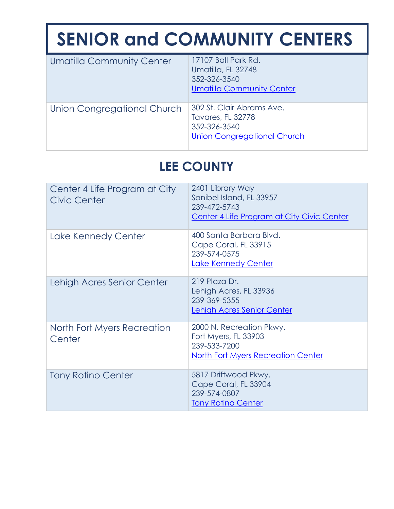| <b>Umatilla Community Center</b> | 17107 Ball Park Rd.<br>Umatilla, FL 32748<br>352-326-3540<br><b>Umatilla Community Center</b>               |
|----------------------------------|-------------------------------------------------------------------------------------------------------------|
| Union Congregational Church      | 302 St. Clair Abrams Ave.<br><b>Tavares, FL 32778</b><br>352-326-3540<br><b>Union Congregational Church</b> |

# **LEE COUNTY**

| Center 4 Life Program at City<br><b>Civic Center</b> | 2401 Library Way<br>Sanibel Island, FL 33957<br>239-472-5743<br>Center 4 Life Program at City Civic Center |
|------------------------------------------------------|------------------------------------------------------------------------------------------------------------|
| Lake Kennedy Center                                  | 400 Santa Barbara Blvd.<br>Cape Coral, FL 33915<br>239-574-0575<br>Lake Kennedy Center                     |
| Lehigh Acres Senior Center                           | 219 Plaza Dr.<br>Lehigh Acres, FL 33936<br>239-369-5355<br>Lehigh Acres Senior Center                      |
| North Fort Myers Recreation<br>Center                | 2000 N. Recreation Pkwy.<br>Fort Myers, FL 33903<br>239-533-7200<br>North Fort Myers Recreation Center     |
| <b>Tony Rotino Center</b>                            | 5817 Driftwood Pkwy.<br>Cape Coral, FL 33904<br>239-574-0807<br><b>Tony Rotino Center</b>                  |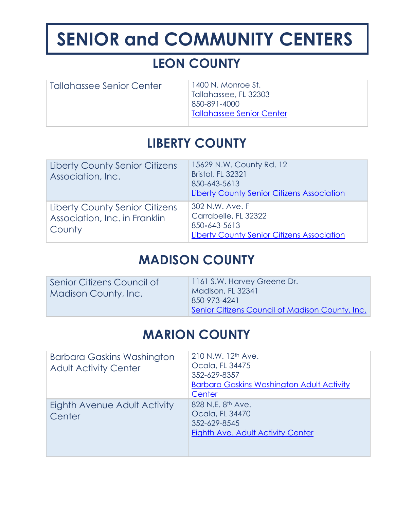# **LEON COUNTY**

| Tallahassee Senior Center | 1400 N. Monroe St.<br>Tallahassee, FL 32303<br>850-891-4000<br><b>Tallahassee Senior Center</b> |
|---------------------------|-------------------------------------------------------------------------------------------------|
|                           |                                                                                                 |

### **LIBERTY COUNTY**

| <b>Liberty County Senior Citizens</b><br>Association, Inc.                | 15629 N.W. County Rd. 12<br><b>Bristol, FL 32321</b><br>850-643-5613<br><b>Liberty County Senior Citizens Association</b> |
|---------------------------------------------------------------------------|---------------------------------------------------------------------------------------------------------------------------|
| Liberty County Senior Citizens<br>Association, Inc. in Franklin<br>County | 302 N.W. Ave. F<br>Carrabelle, FL 32322<br>850-643-5613<br><b>Liberty County Senior Citizens Association</b>              |

#### **MADISON COUNTY**

| Senior Citizens Council of<br><b>Madison County, Inc.</b> | 1161 S.W. Harvey Greene Dr.<br>Madison, FL 32341<br>850-973-4241 |
|-----------------------------------------------------------|------------------------------------------------------------------|
|                                                           | Senior Citizens Council of Madison County, Inc.                  |

### **MARION COUNTY**

| <b>Barbara Gaskins Washington</b><br><b>Adult Activity Center</b> | 210 N.W. 12 <sup>th</sup> Ave.<br>Ocala, FL 34475<br>352-629-8357<br><b>Barbara Gaskins Washington Adult Activity</b><br>Center |
|-------------------------------------------------------------------|---------------------------------------------------------------------------------------------------------------------------------|
| Eighth Avenue Adult Activity<br>Center                            | 828 N.E. 8 <sup>th</sup> Ave.<br>Ocala, FL 34470<br>352-629-8545<br>Eighth Ave. Adult Activity Center                           |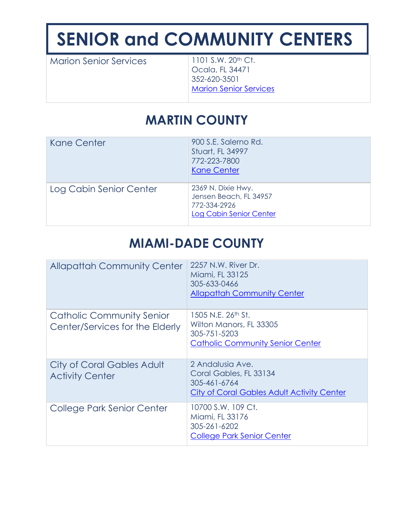Marion Senior Services 1101 S.W. 20<sup>th</sup> Ct.

Ocala, FL 34471 352-620-3501 [Marion Senior Services](http://www.marionseniorservices.org/)

# **MARTIN COUNTY**

| Kane Center             | 900 S.E. Salerno Rd.<br>Stuart, FL 34997<br>772-223-7800<br><b>Kane Center</b>                 |
|-------------------------|------------------------------------------------------------------------------------------------|
| Log Cabin Senior Center | 2369 N. Dixie Hwy.<br>Jensen Beach, FL 34957<br>772-334-2926<br><b>Log Cabin Senior Center</b> |

### **MIAMI-DADE COUNTY**

| <b>Allapattah Community Center</b>                           | 2257 N.W. River Dr.<br>Miami, FL 33125<br>305-633-0466<br><b>Allapattah Community Center</b>                         |
|--------------------------------------------------------------|----------------------------------------------------------------------------------------------------------------------|
| Catholic Community Senior<br>Center/Services for the Elderly | 1505 N.E. 26 <sup>th</sup> St.<br>Wilton Manors, FL 33305<br>305-751-5203<br><b>Catholic Community Senior Center</b> |
| City of Coral Gables Adult<br><b>Activity Center</b>         | 2 Andalusia Ave.<br>Coral Gables, FL 33134<br>305-461-6764<br>City of Coral Gables Adult Activity Center             |
| College Park Senior Center                                   | 10700 S.W. 109 Ct.<br>Miami, FL 33176<br>305-261-6202<br><b>College Park Senior Center</b>                           |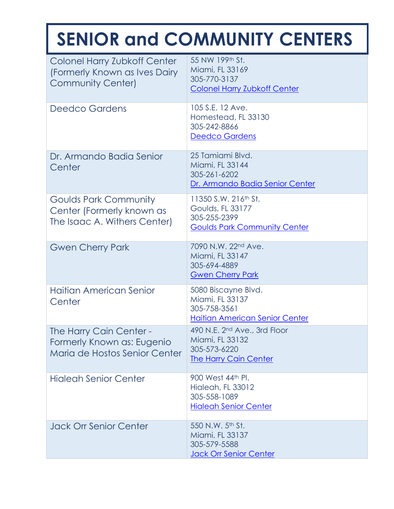| Colonel Harry Zubkoff Center<br>(Formerly Known as Ives Dairy<br><b>Community Center)</b> | 55 NW 199th St.<br>Miami, FL 33169<br>305-770-3137<br><b>Colonel Harry Zubkoff Center</b>                          |
|-------------------------------------------------------------------------------------------|--------------------------------------------------------------------------------------------------------------------|
| <b>Deedco Gardens</b>                                                                     | 105 S.E. 12 Ave.<br>Homestead, FL 33130<br>305-242-8866<br>Deedco Gardens                                          |
| Dr. Armando Badia Senior<br>Center                                                        | 25 Tamiami Blvd.<br>Miami, FL 33144<br>305-261-6202<br>Dr. Armando Badia Senior Center                             |
| <b>Goulds Park Community</b><br>Center (Formerly known as<br>The Isaac A. Withers Center) | 11350 S.W. 216 <sup>th</sup> St.<br><b>Goulds, FL 33177</b><br>305-255-2399<br><b>Goulds Park Community Center</b> |
| <b>Gwen Cherry Park</b>                                                                   | 7090 N.W. 22nd Ave.<br>Miami, FL 33147<br>305-694-4889<br><b>Gwen Cherry Park</b>                                  |
| Haitian American Senior<br>Center                                                         | 5080 Biscayne Blvd.<br>Miami, FL 33137<br>305-758-3561<br><b>Haitian American Senior Center</b>                    |
| The Harry Cain Center -<br>Formerly Known as: Eugenio<br>Maria de Hostos Senior Center    | 490 N.E. 2 <sup>nd</sup> Ave., 3rd Floor<br>Miami, FL 33132<br>305-573-6220<br><b>The Harry Cain Center</b>        |
| <b>Higleah Senior Center</b>                                                              | 900 West 44th Pl.<br>Hialeah, FL 33012<br>305-558-1089<br><b>Hialeah Senior Center</b>                             |
| <b>Jack Orr Senior Center</b>                                                             | 550 N.W. 5th St.<br>Miami, FL 33137<br>305-579-5588<br>Jack Orr Senior Center                                      |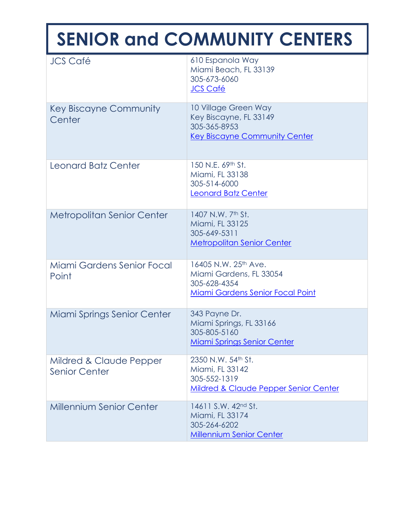| <b>JCS Café</b>                                 | 610 Espanola Way<br>Miami Beach, FL 33139<br>305-673-6060<br>JCS Café                                                  |
|-------------------------------------------------|------------------------------------------------------------------------------------------------------------------------|
| Key Biscayne Community<br>Center                | 10 Village Green Way<br>Key Biscayne, FL 33149<br>305-365-8953<br><b>Key Biscayne Community Center</b>                 |
| Leonard Batz Center                             | 150 N.E. 69th St.<br>Miami, FL 33138<br>305-514-6000<br>Leonard Batz Center                                            |
| <b>Metropolitan Senior Center</b>               | 1407 N.W. 7th St.<br>Miami, FL 33125<br>305-649-5311<br><b>Metropolitan Senior Center</b>                              |
| Miami Gardens Senior Focal<br>Point             | 16405 N.W. 25 <sup>th</sup> Ave.<br>Miami Gardens, FL 33054<br>305-628-4354<br><b>Miami Gardens Senior Focal Point</b> |
| Miami Springs Senior Center                     | 343 Payne Dr.<br>Miami Springs, FL 33166<br>305-805-5160<br><b>Miami Springs Senior Center</b>                         |
| Mildred & Claude Pepper<br><b>Senior Center</b> | 2350 N.W. 54th St.<br>Miami, FL 33142<br>305-552-1319<br>Mildred & Claude Pepper Senior Center                         |
| <b>Millennium Senior Center</b>                 | 14611 S.W. 42 <sup>nd</sup> St.<br>Miami, FL 33174<br>305-264-6202<br><b>Millennium Senior Center</b>                  |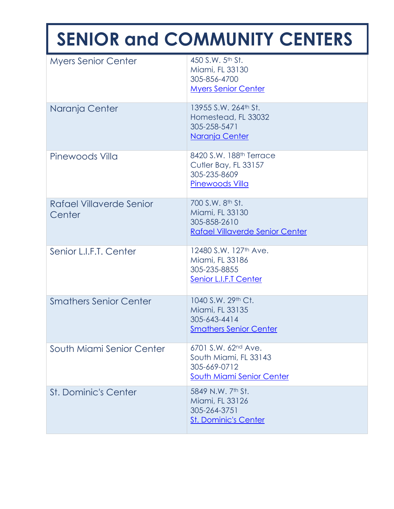| <b>Myers Senior Center</b>         | 450 S.W. 5 <sup>th</sup> St.<br>Miami, FL 33130<br>305-856-4700<br><b>Myers Senior Center</b>  |
|------------------------------------|------------------------------------------------------------------------------------------------|
| Naranja Center                     | 13955 S.W. 264th St.<br>Homestead, FL 33032<br>305-258-5471<br>Naranja Center                  |
| Pinewoods Villa                    | 8420 S.W. 188 <sup>th</sup> Terrace<br>Cutler Bay, FL 33157<br>305-235-8609<br>Pinewoods Villa |
| Rafael Villaverde Senior<br>Center | 700 S.W. 8th St.<br>Miami, FL 33130<br>305-858-2610<br><b>Rafael Villaverde Senior Center</b>  |
| Senior L.I.F.T. Center             | 12480 S.W. 127 <sup>th</sup> Ave.<br>Miami, FL 33186<br>305-235-8855<br>Senior L.I.F.T Center  |
| <b>Smathers Senior Center</b>      | 1040 S.W. 29th Ct.<br>Miami, FL 33135<br>305-643-4414<br><b>Smathers Senior Center</b>         |
| South Miami Senior Center          | 6701 S.W. 62nd Ave.<br>South Miami, FL 33143<br>305-669-0712<br>South Miami Senior Center      |
| <b>St. Dominic's Center</b>        | 5849 N.W. 7th St.<br>Miami, FL 33126<br>305-264-3751<br><b>St. Dominic's Center</b>            |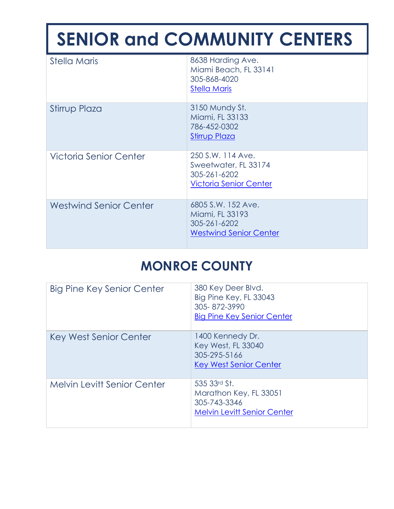| <b>Stella Maris</b>           | 8638 Harding Ave.<br>Miami Beach, FL 33141<br>305-868-4020<br><b>Stella Maris</b>          |
|-------------------------------|--------------------------------------------------------------------------------------------|
| Stirrup Plaza                 | 3150 Mundy St.<br>Miami, FL 33133<br>786-452-0302<br><b>Stirrup Plaza</b>                  |
| <b>Victoria Senior Center</b> | 250 S.W. 114 Ave.<br>Sweetwater, FL 33174<br>305-261-6202<br><b>Victoria Senior Center</b> |
| <b>Westwind Senior Center</b> | 6805 S.W. 152 Ave.<br>Miami, FL 33193<br>305-261-6202<br><b>Westwind Senior Center</b>     |

## **MONROE COUNTY**

| <b>Big Pine Key Senior Center</b>  | 380 Key Deer Blvd.<br>Big Pine Key, FL 33043<br>305-872-3990<br><b>Big Pine Key Senior Center</b> |
|------------------------------------|---------------------------------------------------------------------------------------------------|
| Key West Senior Center             | 1400 Kennedy Dr.<br><b>Key West, FL 33040</b><br>305-295-5166<br><b>Key West Senior Center</b>    |
| <b>Melvin Levitt Senior Center</b> | 535 33rd St.<br>Marathon Key, FL 33051<br>305-743-3346<br><b>Melvin Levitt Senior Center</b>      |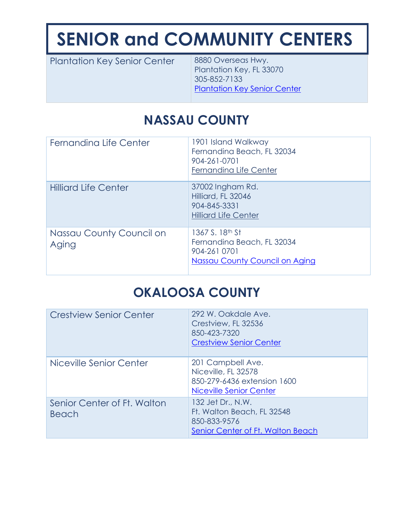| <b>Plantation Key Senior Center</b> | 8880 Overseas Hwy.<br>Plantation Key, FL 33070<br>305-852-7133<br><b>Plantation Key Senior Center</b> |
|-------------------------------------|-------------------------------------------------------------------------------------------------------|
|-------------------------------------|-------------------------------------------------------------------------------------------------------|

# **NASSAU COUNTY**

| Fernandina Life Center            | 1901 Island Walkway<br>Fernandina Beach, FL 32034<br>904-261-0701<br>Fernandina Life Center                        |
|-----------------------------------|--------------------------------------------------------------------------------------------------------------------|
| <b>Hilliard Life Center</b>       | 37002 Ingham Rd.<br>Hilliard, FL 32046<br>904-845-3331<br><b>Hilliard Life Center</b>                              |
| Nassau County Council on<br>Aging | 1367 S. 18 <sup>th</sup> St<br>Fernandina Beach, FL 32034<br>904-261 0701<br><b>Nassau County Council on Aging</b> |

### **OKALOOSA COUNTY**

| <b>Crestview Senior Center</b>              | 292 W. Oakdale Ave.<br>Crestview, FL 32536<br>850-423-7320<br><b>Crestview Senior Center</b>         |
|---------------------------------------------|------------------------------------------------------------------------------------------------------|
| Niceville Senior Center                     | 201 Campbell Ave.<br>Niceville, FL 32578<br>850-279-6436 extension 1600<br>Niceville Senior Center   |
| Senior Center of Ft. Walton<br><b>Beach</b> | 132 Jet Dr., N.W.<br>Ft. Walton Beach, FL 32548<br>850-833-9576<br>Senior Center of Ft. Walton Beach |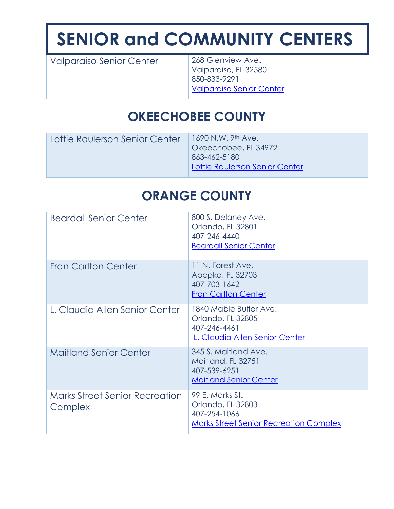Valparaiso Senior Center 268 Glenview Ave.

Valparaiso, FL 32580 850-833-9291 [Valparaiso Senior Center](https://www.valp.org/community/sr-citizen-ctr.html)

#### **OKEECHOBEE COUNTY**

| Lottie Raulerson Senior Center | 1690 N.W. 9th Ave.<br>Okeechobee, FL 34972<br>863-462-5180<br>Lottie Raulerson Senior Center |
|--------------------------------|----------------------------------------------------------------------------------------------|
|--------------------------------|----------------------------------------------------------------------------------------------|

## **ORANGE COUNTY**

| <b>Beardall Senior Center</b>                    | 800 S. Delaney Ave.<br>Orlando, FL 32801<br>407-246-4440<br><b>Beardall Senior Center</b>             |
|--------------------------------------------------|-------------------------------------------------------------------------------------------------------|
| <b>Fran Carlton Center</b>                       | 11 N. Forest Ave.<br>Apopka, FL 32703<br>407-703-1642<br><b>Fran Carlton Center</b>                   |
| L. Claudia Allen Senior Center                   | 1840 Mable Butler Ave.<br>Orlando, FL 32805<br>407-246-4461<br>L. Claudia Allen Senior Center         |
| <b>Maitland Senior Center</b>                    | 345 S. Maitland Ave.<br>Maitland, FL 32751<br>407-539-6251<br><b>Maitland Senior Center</b>           |
| <b>Marks Street Senior Recreation</b><br>Complex | 99 E. Marks St.<br>Orlando, FL 32803<br>407-254-1066<br><b>Marks Street Senior Recreation Complex</b> |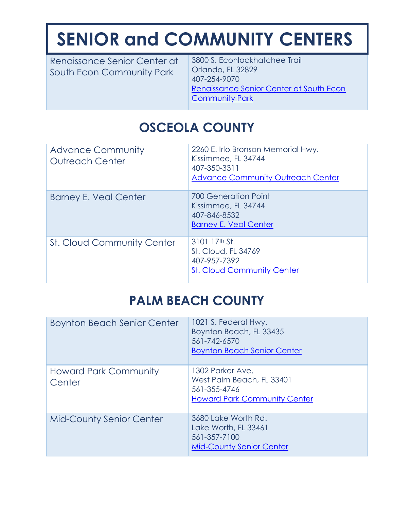Renaissance Senior Center at South Econ Community Park

3800 S. Econlockhatchee Trail Orlando, FL 32829 407-254-9070 [Renaissance Senior Center at South Econ](http://www.orangecountyfl.net/CultureParks/Parks.aspx?m=dtlvw&d=65#.XVRwXehKi70)  [Community Park](http://www.orangecountyfl.net/CultureParks/Parks.aspx?m=dtlvw&d=65#.XVRwXehKi70)

# **OSCEOLA COUNTY**

| <b>Advance Community</b><br><b>Outreach Center</b> | 2260 E. Irlo Bronson Memorial Hwy.<br>Kissimmee, FL 34744<br>407-350-3311<br><b>Advance Community Outreach Center</b> |
|----------------------------------------------------|-----------------------------------------------------------------------------------------------------------------------|
| <b>Barney E. Veal Center</b>                       | 700 Generation Point<br>Kissimmee, FL 34744<br>407-846-8532<br><b>Barney E. Veal Center</b>                           |
| <b>St. Cloud Community Center</b>                  | $310117th$ St.<br><b>St. Cloud, FL 34769</b><br>407-957-7392<br><b>St. Cloud Community Center</b>                     |

## **PALM BEACH COUNTY**

| <b>Boynton Beach Senior Center</b>     | 1021 S. Federal Hwy.<br>Boynton Beach, FL 33435<br>561-742-6570<br><b>Boynton Beach Senior Center</b> |
|----------------------------------------|-------------------------------------------------------------------------------------------------------|
| <b>Howard Park Community</b><br>Center | 1302 Parker Ave.<br>West Palm Beach, FL 33401<br>561-355-4746<br><b>Howard Park Community Center</b>  |
| <b>Mid-County Senior Center</b>        | 3680 Lake Worth Rd.<br>Lake Worth, FL 33461<br>561-357-7100<br><b>Mid-County Senior Center</b>        |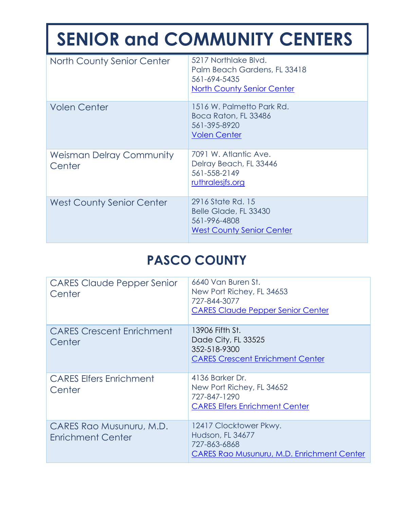| <b>North County Senior Center</b>         | 5217 Northlake Blvd.<br>Palm Beach Gardens, FL 33418<br>561-694-5435<br><b>North County Senior Center</b> |
|-------------------------------------------|-----------------------------------------------------------------------------------------------------------|
| <b>Volen Center</b>                       | 1516 W. Palmetto Park Rd.<br>Boca Raton, FL 33486<br>561-395-8920<br><b>Volen Center</b>                  |
| <b>Weisman Delray Community</b><br>Center | 7091 W. Atlantic Ave.<br>Delray Beach, FL 33446<br>561-558-2149<br>ruthralesjfs.org                       |
| <b>West County Senior Center</b>          | 2916 State Rd. 15<br>Belle Glade, FL 33430<br>561-996-4808<br><b>West County Senior Center</b>            |

#### **PASCO COUNTY**

| <b>CARES Claude Pepper Senior</b><br>Center          | 6640 Van Buren St.<br>New Port Richey, FL 34653<br>727-844-3077<br><b>CARES Claude Pepper Senior Center</b> |
|------------------------------------------------------|-------------------------------------------------------------------------------------------------------------|
| <b>CARES Crescent Enrichment</b><br>Center           | 13906 Fifth St.<br>Dade City, FL 33525<br>352-518-9300<br><b>CARES Crescent Enrichment Center</b>           |
| <b>CARES Elfers Enrichment</b><br>Center             | 4136 Barker Dr.<br>New Port Richey, FL 34652<br>727-847-1290<br><b>CARES Elfers Enrichment Center</b>       |
| CARES Rao Musunuru, M.D.<br><b>Enrichment Center</b> | 12417 Clocktower Pkwy.<br>Hudson, FL 34677<br>727-863-6868<br>CARES Rao Musunuru, M.D. Enrichment Center    |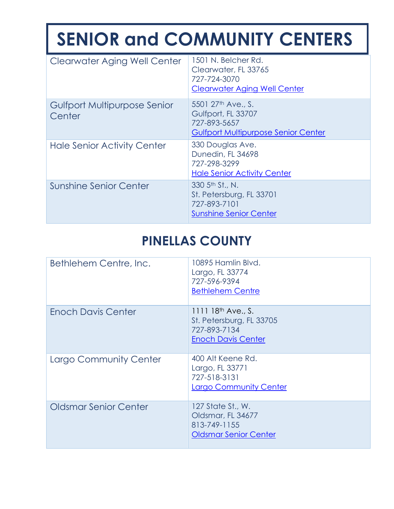| <b>Clearwater Aging Well Center</b>    | 1501 N. Belcher Rd.<br>Clearwater, FL 33765<br>727-724-3070<br><b>Clearwater Aging Well Center</b>                 |
|----------------------------------------|--------------------------------------------------------------------------------------------------------------------|
| Gulfport Multipurpose Senior<br>Center | 5501 27 <sup>th</sup> Ave., S.<br>Gulfport, FL 33707<br>727-893-5657<br><b>Gulfport Multipurpose Senior Center</b> |
| <b>Hale Senior Activity Center</b>     | 330 Douglas Ave.<br>Dunedin, FL 34698<br>727-298-3299<br><b>Hale Senior Activity Center</b>                        |
| Sunshine Senior Center                 | 330 5 <sup>th</sup> St., N.<br>St. Petersburg, FL 33701<br>727-893-7101<br><b>Sunshine Senior Center</b>           |

## **PINELLAS COUNTY**

| Bethlehem Centre, Inc.       | 10895 Hamlin Blvd.<br>Largo, FL 33774<br>727-596-9394<br><b>Bethlehem Centre</b>                 |
|------------------------------|--------------------------------------------------------------------------------------------------|
| <b>Enoch Davis Center</b>    | 1111 $18^{th}$ Ave., S.<br>St. Petersburg, FL 33705<br>727-893-7134<br><b>Enoch Davis Center</b> |
| Largo Community Center       | 400 Alt Keene Rd.<br>Largo, FL 33771<br>727-518-3131<br><b>Largo Community Center</b>            |
| <b>Oldsmar Senior Center</b> | 127 State St., W.<br>Oldsmar, FL 34677<br>813-749-1155<br><b>Oldsmar Senior Center</b>           |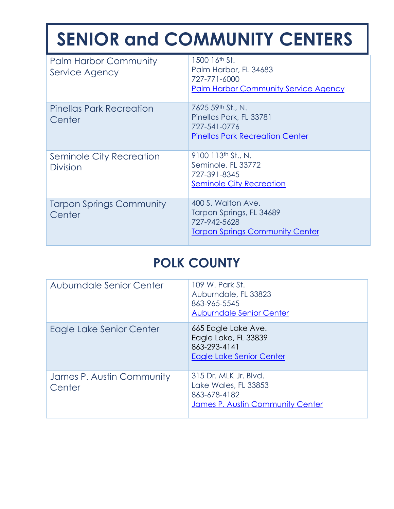| <b>Palm Harbor Community</b><br>Service Agency | 1500 16th St.<br>Palm Harbor, FL 34683<br>727-771-6000<br><b>Palm Harbor Community Service Agency</b>    |
|------------------------------------------------|----------------------------------------------------------------------------------------------------------|
| <b>Pinellas Park Recreation</b><br>Center      | 7625 59th St., N.<br>Pinellas Park, FL 33781<br>727-541-0776<br><b>Pinellas Park Recreation Center</b>   |
| Seminole City Recreation<br><b>Division</b>    | 9100 113th St., N.<br>Seminole, FL 33772<br>727-391-8345<br>Seminole City Recreation                     |
| <b>Tarpon Springs Community</b><br>Center      | 400 S. Walton Ave.<br>Tarpon Springs, FL 34689<br>727-942-5628<br><b>Tarpon Springs Community Center</b> |

### **POLK COUNTY**

| Auburndale Senior Center            | 109 W. Park St.<br>Auburndale, FL 33823<br>863-965-5545<br><b>Auburndale Senior Center</b>        |
|-------------------------------------|---------------------------------------------------------------------------------------------------|
| Eagle Lake Senior Center            | 665 Eagle Lake Ave.<br>Eagle Lake, FL 33839<br>863-293-4141<br>Eagle Lake Senior Center           |
| James P. Austin Community<br>Center | 315 Dr. MLK Jr. Blvd.<br>Lake Wales, FL 33853<br>863-678-4182<br>James P. Austin Community Center |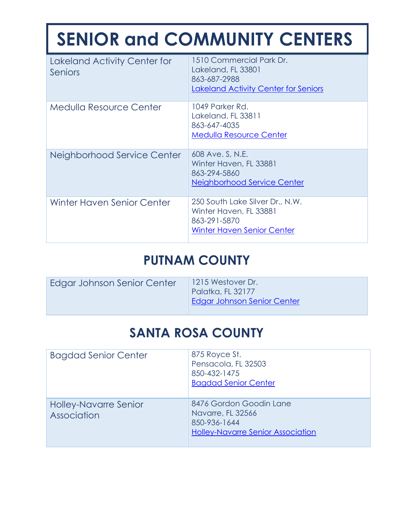| Lakeland Activity Center for<br>Seniors | 1510 Commercial Park Dr.<br>Lakeland, FL 33801<br>863-687-2988<br>Lakeland Activity Center for Seniors         |
|-----------------------------------------|----------------------------------------------------------------------------------------------------------------|
| Medulla Resource Center                 | 1049 Parker Rd.<br>Lakeland, FL 33811<br>863-647-4035<br><b>Medulla Resource Center</b>                        |
| Neighborhood Service Center             | 608 Ave. S, N.E.<br>Winter Haven, FL 33881<br>863-294-5860<br>Neighborhood Service Center                      |
| <b>Winter Haven Senior Center</b>       | 250 South Lake Silver Dr., N.W.<br>Winter Haven, FL 33881<br>863-291-5870<br><b>Winter Haven Senior Center</b> |

#### **PUTNAM COUNTY**

| Edgar Johnson Senior Center | 1215 Westover Dr.<br>Palatka, FL 32177<br><b>Edgar Johnson Senior Center</b> |
|-----------------------------|------------------------------------------------------------------------------|
|                             |                                                                              |

### **SANTA ROSA COUNTY**

| <b>Bagdad Senior Center</b>                 | 875 Royce St.<br>Pensacola, FL 32503<br>850-432-1475<br><b>Bagdad Senior Center</b>                      |
|---------------------------------------------|----------------------------------------------------------------------------------------------------------|
| <b>Holley-Navarre Senior</b><br>Association | 8476 Gordon Goodin Lane<br>Navarre, FL 32566<br>850-936-1644<br><b>Holley-Navarre Senior Association</b> |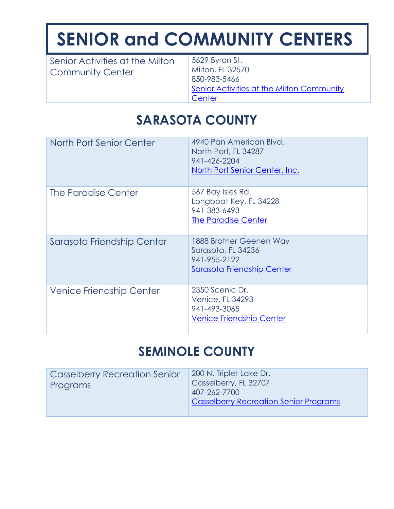| Senior Activities at the Milton<br><b>Community Center</b> | 5629 Byron St.<br>Milton, FL 32570<br>850-983-5466<br>Senior Activities at the Milton Community<br>Center |
|------------------------------------------------------------|-----------------------------------------------------------------------------------------------------------|
|------------------------------------------------------------|-----------------------------------------------------------------------------------------------------------|

## **SARASOTA COUNTY**

| North Port Senior Center        | 4940 Pan American Blvd.<br>North Port, FL 34287<br>941-426-2204<br>North Port Senior Center, Inc. |
|---------------------------------|---------------------------------------------------------------------------------------------------|
| The Paradise Center             | 567 Bay Isles Rd.<br>Longboat Key, FL 34228<br>941-383-6493<br>The Paradise Center                |
| Sarasota Friendship Center      | 1888 Brother Geenen Way<br>Sarasota, FL 34236<br>941-955-2122<br>Sarasota Friendship Center       |
| <b>Venice Friendship Center</b> | 2350 Scenic Dr.<br><b>Venice, FL 34293</b><br>941-493-3065<br><b>Venice Friendship Center</b>     |

#### **SEMINOLE COUNTY**

| <b>Casselberry Recreation Senior</b><br>Programs | 200 N. Triplet Lake Dr.<br>Casselberry, FL 32707<br>407-262-7700 |
|--------------------------------------------------|------------------------------------------------------------------|
|                                                  | <b>Casselberry Recreation Senior Programs</b>                    |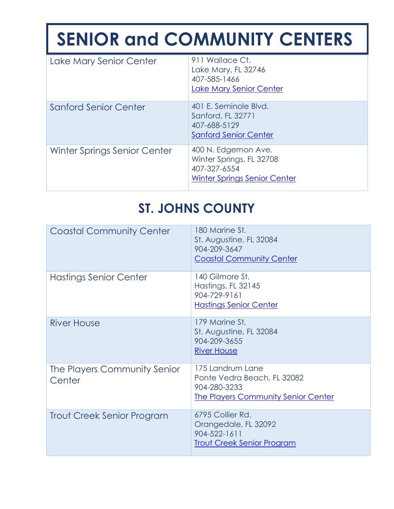| Lake Mary Senior Center      | 911 Wallace Ct.<br>Lake Mary, FL 32746<br>407-585-1466<br>Lake Mary Senior Center                      |
|------------------------------|--------------------------------------------------------------------------------------------------------|
| <b>Sanford Senior Center</b> | 401 E. Seminole Blvd.<br>Sanford, FL 32771<br>407-688-5129<br><b>Sanford Senior Center</b>             |
| Winter Springs Senior Center | 400 N. Edgemon Ave.<br>Winter Springs, FL 32708<br>407-327-6554<br><b>Winter Springs Senior Center</b> |

# **ST. JOHNS COUNTY**

| <b>Coastal Community Center</b>        | 180 Marine St.<br>St. Augustine, FL 32084<br>904-209-3647<br><b>Coastal Community Center</b>                  |
|----------------------------------------|---------------------------------------------------------------------------------------------------------------|
| Hastings Senior Center                 | 140 Gilmore St.<br>Hastings, FL 32145<br>904-729-9161<br><b>Hastings Senior Center</b>                        |
| <b>River House</b>                     | 179 Marine St.<br>St. Augustine, FL 32084<br>904-209-3655<br><b>River House</b>                               |
| The Players Community Senior<br>Center | 175 Landrum Lane<br>Ponte Vedra Beach, FL 32082<br>904-280-3233<br><b>The Players Community Senior Center</b> |
| Trout Creek Senior Program             | 6795 Collier Rd.<br>Orangedale, FL 32092<br>904-522-1611<br><b>Trout Creek Senior Program</b>                 |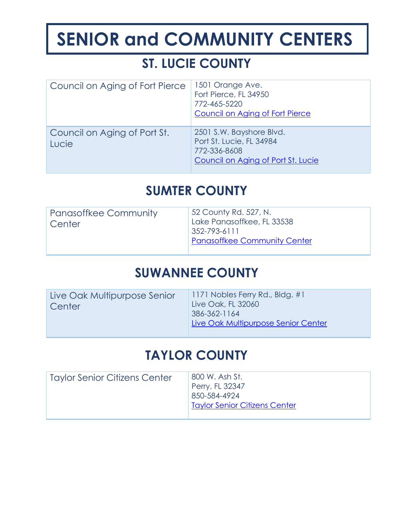## **ST. LUCIE COUNTY**

| Council on Aging of Fort Pierce       | 1501 Orange Ave.<br>Fort Pierce, FL 34950<br>772-465-5220<br>Council on Aging of Fort Pierce               |
|---------------------------------------|------------------------------------------------------------------------------------------------------------|
| Council on Aging of Port St.<br>Lucie | 2501 S.W. Bayshore Blvd.<br>Port St. Lucie, FL 34984<br>772-336-8608<br>Council on Aging of Port St. Lucie |

#### **SUMTER COUNTY**

| <b>Panasoffkee Community</b><br>Center | 52 County Rd. 527, N.<br>Lake Panasoffkee, FL 33538<br>$352 - 793 - 6111$<br><b>Panasoffkee Community Center</b> |
|----------------------------------------|------------------------------------------------------------------------------------------------------------------|
|                                        |                                                                                                                  |

#### **SUWANNEE COUNTY**

| Live Oak Multipurpose Senior<br>Center | 1171 Nobles Ferry Rd., Bldg. $#1$<br>Live Oak, FL 32060<br>386-362-1164<br>Live Oak Multipurpose Senior Center |
|----------------------------------------|----------------------------------------------------------------------------------------------------------------|
|                                        |                                                                                                                |

#### **TAYLOR COUNTY**

| 800 W. Ash St.<br>Perry, FL 32347<br>850-584-4924<br>Taylor Senior Citizens Center |
|------------------------------------------------------------------------------------|
|                                                                                    |
|                                                                                    |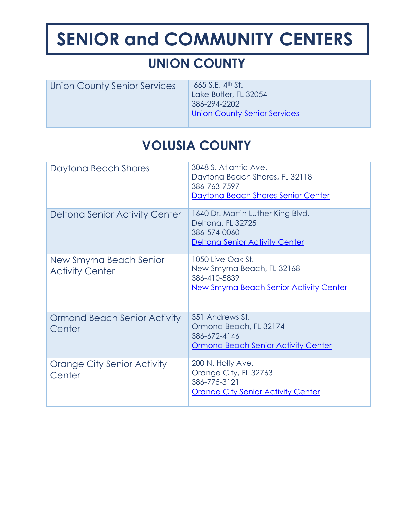## **UNION COUNTY**

| Union County Senior Services | 665 S.E. $4th$ St.                  |
|------------------------------|-------------------------------------|
|                              | Lake Butler, FL 32054               |
|                              | 386-294-2202                        |
|                              | <b>Union County Senior Services</b> |
|                              |                                     |

## **VOLUSIA COUNTY**

| Daytona Beach Shores                              | 3048 S. Atlantic Ave.<br>Daytona Beach Shores, FL 32118<br>386-763-7597<br>Daytona Beach Shores Senior Center     |
|---------------------------------------------------|-------------------------------------------------------------------------------------------------------------------|
| Deltona Senior Activity Center                    | 1640 Dr. Martin Luther King Blvd.<br>Deltona, FL 32725<br>386-574-0060<br><b>Deltona Senior Activity Center</b>   |
| New Smyrna Beach Senior<br><b>Activity Center</b> | 1050 Live Oak St.<br>New Smyrna Beach, FL 32168<br>386-410-5839<br><b>New Smyrna Beach Senior Activity Center</b> |
| Ormond Beach Senior Activity<br>Center            | 351 Andrews St.<br>Ormond Beach, FL 32174<br>386-672-4146<br><b>Ormond Beach Senior Activity Center</b>           |
| Orange City Senior Activity<br>Center             | 200 N. Holly Ave.<br>Orange City, FL 32763<br>386-775-3121<br><b>Orange City Senior Activity Center</b>           |